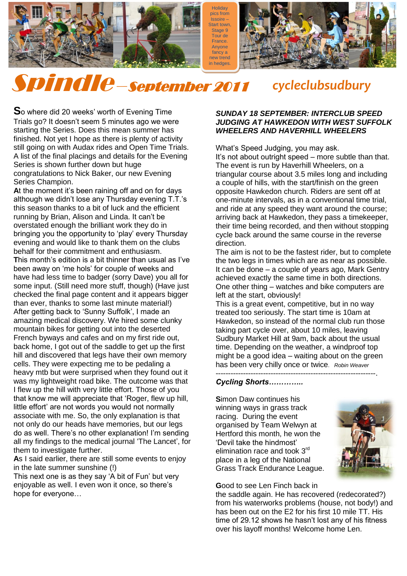**Holiday** pics from Issoire – Start town. Stage 9 Tour de France. Anyone fancy a new trend in hedges

style!

1



## $\overline{\phantom{a}}$ Spindle –September 2011 *cycleclubsudbury*

So where did 20 weeks' worth of Evening Time Trials go? It doesn"t seem 5 minutes ago we were starting the Series. Does this mean summer has finished. Not yet I hope as there is plenty of activity still going on with Audax rides and Open Time Trials. A list of the final placings and details for the Evening Series is shown further down but huge congratulations to Nick Baker, our new Evening Series Champion.  $\mathbf{e}$ 

At the moment it's been raining off and on for days although we didn't lose any Thursday evening T.T.'s this season thanks to a bit of luck and the efficient running by Brian, Alison and Linda. It can"t be overstated enough the brilliant work they do in bringing you the opportunity to "play" every Thursday evening and would like to thank them on the clubs behalf for their commitment and enthusiasm. **T**his month"s edition is a bit thinner than usual as I"ve been away on "me hols" for couple of weeks and have had less time to badger (sorry Dave) you all for some input. (Still need more stuff, though) (Have just checked the final page content and it appears bigger than ever, thanks to some last minute material!) After getting back to "Sunny Suffolk", I made an amazing medical discovery. We hired some clunky mountain bikes for getting out into the deserted French byways and cafes and on my first ride out, back home, I got out of the saddle to get up the first hill and discovered that legs have their own memory cells. They were expecting me to be pedaling a heavy mtb but were surprised when they found out it was my lightweight road bike. The outcome was that I flew up the hill with very little effort. Those of you that know me will appreciate that "Roger, flew up hill, little effort' are not words you would not normally associate with me. So, the only explanation is that not only do our heads have memories, but our legs do as well. There"s no other explanation! I"m sending all my findings to the medical journal "The Lancet", for them to investigate further.

**A**s I said earlier, there are still some events to enjoy in the late summer sunshine (!)

This next one is as they say "A bit of Fun" but very enjoyable as well. I even won it once, so there"s hope for everyone…

#### *SUNDAY 18 SEPTEMBER: INTERCLUB SPEED JUDGING AT HAWKEDON WITH WEST SUFFOLK WHEELERS AND HAVERHILL WHEELERS*

What"s Speed Judging, you may ask. It's not about outright speed – more subtle than that. The event is run by Haverhill Wheelers, on a triangular course about 3.5 miles long and including a couple of hills, with the start/finish on the green opposite Hawkedon church. Riders are sent off at one-minute intervals, as in a conventional time trial, and ride at any speed they want around the course; arriving back at Hawkedon, they pass a timekeeper, their time being recorded, and then without stopping cycle back around the same course in the reverse direction.

The aim is not to be the fastest rider, but to complete the two legs in times which are as near as possible. It can be done – a couple of years ago, Mark Gentry achieved exactly the same time in both directions. One other thing – watches and bike computers are left at the start, obviously!

This is a great event, competitive, but in no way treated too seriously. The start time is 10am at Hawkedon, so instead of the normal club run those taking part cycle over, about 10 miles, leaving Sudbury Market Hill at 9am, back about the usual time. Depending on the weather, a windproof top might be a good idea – waiting about on the green has been very chilly once or twice. *Robin Weaver*

----------------------------------------------------------------.

#### *Cycling Shorts…………..*

**S**imon Daw continues his winning ways in grass track racing. During the event organised by Team Welwyn at Hertford this month, he won the "Devil take the hindmost" elimination race and took 3rd place in a leg of the National Grass Track Endurance League.



**G**ood to see Len Finch back in

the saddle again. He has recovered (redecorated?) from his waterworks problems (house, not body!) and has been out on the E2 for his first 10 mile TT. His time of 29.12 shows he hasn't lost any of his fitness over his layoff months! Welcome home Len.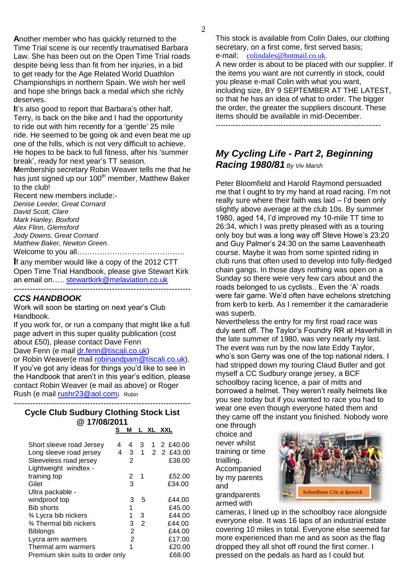**A**nother member who has quickly returned to the Time Trial scene is our recently traumatised Barbara Law. She has been out on the Open Time Trial roads despite being less than fit from her injuries, in a bid to get ready for the Age Related World Duathlon Championships in northern Spain. We wish her well and hope she brings back a medal which she richly deserves.

It's also good to report that Barbara's other half, Terry, is back on the bike and I had the opportunity to ride out with him recently for a "gentle" 25 mile ride. He seemed to be going ok and even beat me up one of the hills, which is not very difficult to achieve. He hopes to be back to full fitness, after his "summer break", ready for next year"s TT season.

**M**embership secretary Robin Weaver tells me that he has just signed up our 100<sup>th</sup> member, Matthew Baker to the club!

Recent new members include:- *Denise Leeder, Great Cornard David Scott, Clare Mark Hanley, Boxford Alex Flinn, Glemsford Jody Downs, Great Cornard Matthew Baker, Newton Green*. Welcome to you all…………………………………….

**I**f any member would like a copy of the 2012 CTT Open Time Trial Handbook, please give Stewart Kirk an email on.... [stewartkirk@melaviation.co.uk](mailto:stewartkirk@melaviation.co.uk) -----------------------------------------------------------------

#### *CCS HANDBOOK*

Work will soon be starting on next year"s Club Handbook.

If you work for, or run a company that might like a full page advert in this super quality publication (cost about £50), please contact Dave Fenn

Dave Fenn (e mail [dr.fenn@tiscali.co.uk\)](mailto:dr.fenn@tiscali.co.uk)

or Robin Weaver(e mail [robinandpam@tiscali.co.uk\)](mailto:robinandpam@tiscali.co.uk). If you"ve got any ideas for things you"d like to see in the Handbook that aren"t in this year"s edition, please contact Robin Weaver (e mail as above) or Roger Rush (e mail [rushr23@aol.com](mailto:rushr23@aol.com)*). Robin*

-----------------------------------------------------------------

| <b>Cycle Club Sudbury Clothing Stock List</b><br>@17/08/2011 |        |                |        |  |                                |  |  |  |  |
|--------------------------------------------------------------|--------|----------------|--------|--|--------------------------------|--|--|--|--|
|                                                              | s      | м              |        |  | L XL XXL                       |  |  |  |  |
| Short sleeve road Jersey<br>Long sleeve road jersey          | 4<br>4 | 3 <sup>1</sup> |        |  | 4 3 1 2 £40.00<br>1 2 2 £43.00 |  |  |  |  |
| Sleeveless road jersey<br>Lightweight windtex -              |        | 2              |        |  | £38.00                         |  |  |  |  |
| training top<br>Gilet                                        |        | 2<br>3         | -1     |  | £52.00<br>£34.00               |  |  |  |  |
| Ultra packable -<br>windproof top                            |        | 3              | 5      |  | £44.00                         |  |  |  |  |
| <b>Bib shorts</b>                                            |        | 1              |        |  | £45.00                         |  |  |  |  |
| 3⁄4 Lycra bib nickers<br>3⁄4 Thermal bib nickers             |        | 1<br>3         | 3<br>2 |  | £44.00<br>£44.00               |  |  |  |  |
| <b>Biblongs</b><br>Lycra arm warmers                         |        | 2<br>2         |        |  | £44.00<br>£17.00               |  |  |  |  |
| Thermal arm warmers<br>Premium skin suits to order only      |        | 1              |        |  | £20.00<br>£68.00               |  |  |  |  |

This stock is available from Colin Dales, our clothing secretary, on a first come, first served basis; e-mail; [colindales@hotmail.co.uk.](javascript:void(0);)

A new order is about to be placed with our supplier. If the items you want are not currently in stock, could you please e-mail Colin with what you want, including size, BY 9 SEPTEMBER AT THE LATEST, so that he has an idea of what to order. The bigger the order, the greater the suppliers discount. These items should be available in mid-December.

------------------------------------------------------------------

### *My Cycling Life - Part 2, Beginning Racing 1980/81 By Viv Marsh*

Peter Bloomfield and Harold Raymond persuaded me that I ought to try my hand at road racing. I'm not really sure where their faith was laid – I"d been only slightly above average at the club 10s. By summer 1980, aged 14, I"d improved my 10-mile TT time to 26:34, which I was pretty pleased with as a touring only boy but was a long way off Steve Howe's 23:20 and Guy Palmer"s 24:30 on the same Leavenheath course. Maybe it was from some spirited riding in club runs that often used to develop into fully-fledged chain gangs. In those days nothing was open on a Sunday so there were very few cars about and the roads belonged to us cyclists.. Even the 'A' roads were fair game. We"d often have echelons stretching from kerb to kerb. As I remember it the camaraderie was superb.

Nevertheless the entry for my first road race was duly sent off. The Taylor"s Foundry RR at Haverhill in the late summer of 1980, was very nearly my last. The event was run by the now late Eddy Taylor, who's son Gerry was one of the top national riders. I had stripped down my touring Claud Butler and got myself a CC Sudbury orange jersey, a BCF schoolboy racing licence, a pair of mitts and borrowed a helmet. They weren"t really helmets like you see today but if you wanted to race you had to wear one even though everyone hated them and they came off the instant you finished. Nobody wore

one through choice and never whilst training or time trialling. Accompanied by my parents and grandparents armed with



cameras, I lined up in the schoolboy race alongside everyone else. It was 16 laps of an industrial estate covering 10 miles in total. Everyone else seemed far more experienced than me and as soon as the flag dropped they all shot off round the first corner. I pressed on the pedals as hard as I could but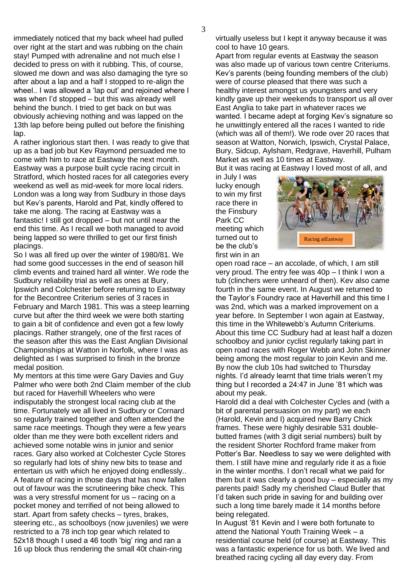immediately noticed that my back wheel had pulled over right at the start and was rubbing on the chain stay! Pumped with adrenaline and not much else I decided to press on with it rubbing. This, of course, slowed me down and was also damaging the tyre so after about a lap and a half I stopped to re-align the wheel.. I was allowed a 'lap out' and rejoined where I was when I'd stopped – but this was already well behind the bunch. I tried to get back on but was obviously achieving nothing and was lapped on the 13th lap before being pulled out before the finishing lap.

A rather inglorious start then. I was ready to give that up as a bad job but Kev Raymond persuaded me to come with him to race at Eastway the next month. Eastway was a purpose built cycle racing circuit in Stratford, which hosted races for all categories every weekend as well as mid-week for more local riders. London was a long way from Sudbury in those days but Kev"s parents, Harold and Pat, kindly offered to take me along. The racing at Eastway was a fantastic! I still got dropped – but not until near the end this time. As I recall we both managed to avoid being lapped so were thrilled to get our first finish placings.

So I was all fired up over the winter of 1980/81. We had some good successes in the end of season hill climb events and trained hard all winter. We rode the Sudbury reliability trial as well as ones at Bury, Ipswich and Colchester before returning to Eastway for the Becontree Criterium series of 3 races in February and March 1981. This was a steep learning curve but after the third week we were both starting to gain a bit of confidence and even got a few lowly placings. Rather strangely, one of the first races of the season after this was the East Anglian Divisional Championships at Watton in Norfolk, where I was as delighted as I was surprised to finish in the bronze medal position.

My mentors at this time were Gary Davies and Guy Palmer who were both 2nd Claim member of the club but raced for Haverhill Wheelers who were indisputably the strongest local racing club at the time. Fortunately we all lived in Sudbury or Cornard so regularly trained together and often attended the same race meetings. Though they were a few years older than me they were both excellent riders and achieved some notable wins in junior and senior races. Gary also worked at Colchester Cycle Stores so regularly had lots of shiny new bits to tease and entertain us with which he enjoyed doing endlessly.. A feature of racing in those days that has now fallen out of favour was the scrutineering bike check. This was a very stressful moment for us – racing on a pocket money and terrified of not being allowed to start. Apart from safety checks – tyres, brakes, steering etc., as schoolboys (now juveniles) we were restricted to a 78 inch top gear which related to 52x18 though I used a 46 tooth 'big' ring and ran a 16 up block thus rendering the small 40t chain-ring

virtually useless but I kept it anyway because it was cool to have 10 gears.

Apart from regular events at Eastway the season was also made up of various town centre Criteriums. Kev"s parents (being founding members of the club) were of course pleased that there was such a healthy interest amongst us youngsters and very kindly gave up their weekends to transport us all over East Anglia to take part in whatever races we wanted. I became adept at forging Kev"s signature so he unwittingly entered all the races I wanted to ride (which was all of them!). We rode over 20 races that season at Watton, Norwich, Ipswich, Crystal Palace, Bury, Sidcup, Aylsham, Redgrave, Haverhill, Pulham Market as well as 10 times at Eastway.

But it was racing at Eastway I loved most of all, and

in July I was lucky enough to win my first race there in the Finsbury Park CC meeting which turned out to be the club"s first win in an



open road race – an accolade, of which, I am still very proud. The entry fee was 40p – I think I won a tub (clinchers were unheard of then). Kev also came fourth in the same event. In August we returned to the Taylor"s Foundry race at Haverhill and this time I was 2nd, which was a marked improvement on a year before. In September I won again at Eastway, this time in the Whitewebb"s Autumn Criteriums. About this time CC Sudbury had at least half a dozen schoolboy and junior cyclist regularly taking part in open road races with Roger Webb and John Skinner being among the most regular to join Kevin and me. By now the club 10s had switched to Thursday nights. I"d already learnt that time trials weren"t my thing but I recorded a 24:47 in June "81 which was about my peak.

Harold did a deal with Colchester Cycles and (with a bit of parental persuasion on my part) we each (Harold, Kevin and I) acquired new Barry Chick frames. These were highly desirable 531 doublebutted frames (with 3 digit serial numbers) built by the resident Shorter Rochford frame maker from Potter"s Bar. Needless to say we were delighted with them. I still have mine and regularly ride it as a fixie in the winter months. I don"t recall what we paid for them but it was clearly a good buy – especially as my parents paid! Sadly my cherished Claud Butler that I"d taken such pride in saving for and building over such a long time barely made it 14 months before being relegated.

In August "81 Kevin and I were both fortunate to attend the National Youth Training Week – a residential course held (of course) at Eastway. This was a fantastic experience for us both. We lived and breathed racing cycling all day every day. From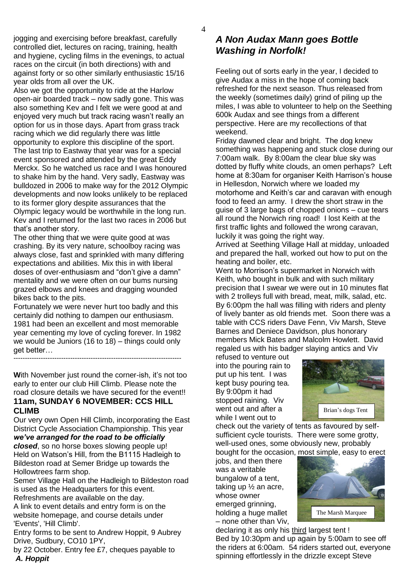jogging and exercising before breakfast, carefully controlled diet, lectures on racing, training, health and hygiene, cycling films in the evenings, to actual races on the circuit (in both directions) with and against forty or so other similarly enthusiastic 15/16 year olds from all over the UK.

Also we got the opportunity to ride at the Harlow open-air boarded track – now sadly gone. This was also something Kev and I felt we were good at and enjoyed very much but track racing wasn"t really an option for us in those days. Apart from grass track racing which we did regularly there was little opportunity to explore this discipline of the sport. The last trip to Eastway that year was for a special event sponsored and attended by the great Eddy Merckx. So he watched us race and I was honoured to shake him by the hand. Very sadly, Eastway was bulldozed in 2006 to make way for the 2012 Olympic developments and now looks unlikely to be replaced to its former glory despite assurances that the Olympic legacy would be worthwhile in the long run. Kev and I returned for the last two races in 2006 but that"s another story.

The other thing that we were quite good at was crashing. By its very nature, schoolboy racing was always close, fast and sprinkled with many differing expectations and abilities. Mix this in with liberal doses of over-enthusiasm and "don"t give a damn" mentality and we were often on our bums nursing grazed elbows and knees and dragging wounded bikes back to the pits.

Fortunately we were never hurt too badly and this certainly did nothing to dampen our enthusiasm. 1981 had been an excellent and most memorable year cementing my love of cycling forever. In 1982 we would be Juniors (16 to 18) – things could only get better… --------------------------------------------------------------------------

**With November just round the corner-ish, it's not too** early to enter our club Hill Climb. Please note the road closure details we have secured for the event!! **11am, SUNDAY 6 NOVEMBER: CCS HILL CLIMB**

Our very own Open Hill Climb, incorporating the East District Cycle Association Championship. This year *we've arranged for the road to be officially* 

*closed*, so no horse boxes slowing people up! Held on Watson"s Hill, from the B1115 Hadleigh to Bildeston road at Semer Bridge up towards the Hollowtrees farm shop.

Semer Village Hall on the Hadleigh to Bildeston road is used as the Headquarters for this event. Refreshments are available on the day.

A link to event details and entry form is on the website homepage, and course details under 'Events', 'Hill Climb'.

Entry forms to be sent to Andrew Hoppit, 9 Aubrey Drive, Sudbury, CO10 1PY,

by 22 October. Entry fee £7, cheques payable to *A. Hoppit*

## *A Non Audax Mann goes Bottle Washing in Norfolk!*

Feeling out of sorts early in the year, I decided to give Audax a miss in the hope of coming back refreshed for the next season. Thus released from the weekly (sometimes daily) grind of piling up the miles, I was able to volunteer to help on the Seething 600k Audax and see things from a different perspective. Here are my recollections of that weekend.

Friday dawned clear and bright. The dog knew something was happening and stuck close during our 7:00am walk. By 8:00am the clear blue sky was dotted by fluffy white clouds, an omen perhaps? Left home at 8:30am for organiser Keith Harrison's house in Hellesdon, Norwich where we loaded my motorhome and Keith's car and caravan with enough food to feed an army. I drew the short straw in the guise of 3 large bags of chopped onions – cue tears all round the Norwich ring road! I lost Keith at the first traffic lights and followed the wrong caravan, luckily it was going the right way.

Arrived at Seething Village Hall at midday, unloaded and prepared the hall, worked out how to put on the heating and boiler, etc.

Went to Morrison"s supermarket in Norwich with Keith, who bought in bulk and with such military precision that I swear we were out in 10 minutes flat with 2 trolleys full with bread, meat, milk, salad, etc. By 6:00pm the hall was filling with riders and plenty of lively banter as old friends met. Soon there was a table with CCS riders Dave Fenn, Viv Marsh, Steve Barnes and Deniece Davidson, plus honorary members Mick Bates and Malcolm Howlett. David regaled us with his badger slaying antics and Viv

refused to venture out into the pouring rain to put up his tent. I was kept busy pouring tea. By 9:00pm it had stopped raining. Viv went out and after a while I went out to



check out the variety of tents as favoured by selfsufficient cycle tourists. There were some grotty, well-used ones, some obviously new, probably bought for the occasion, most simple, easy to erect

jobs, and then there was a veritable bungalow of a tent, taking up ½ an acre, whose owner emerged grinning, holding a huge mallet – none other than Viv,



declaring it as only his third largest tent ! Bed by 10:30pm and up again by 5:00am to see off the riders at 6:00am. 54 riders started out, everyone spinning effortlessly in the drizzle except Steve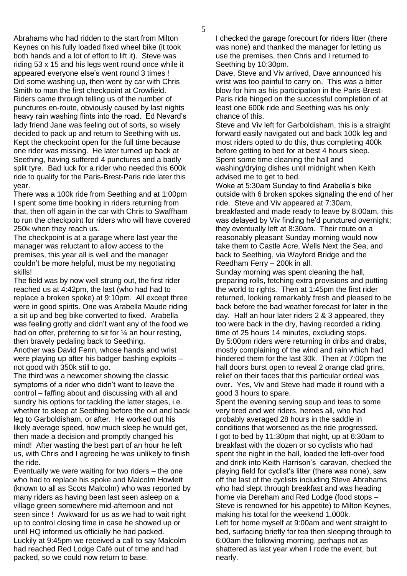Abrahams who had ridden to the start from Milton Keynes on his fully loaded fixed wheel bike (it took both hands and a lot of effort to lift it). Steve was riding 53 x 15 and his legs went round once while it appeared everyone else"s went round 3 times ! Did some washing up, then went by car with Chris Smith to man the first checkpoint at Crowfield. Riders came through telling us of the number of punctures en-route, obviously caused by last nights heavy rain washing flints into the road. Ed Nevard's lady friend Jane was feeling out of sorts, so wisely decided to pack up and return to Seething with us. Kept the checkpoint open for the full time because one rider was missing. He later turned up back at Seething, having suffered 4 punctures and a badly split tyre. Bad luck for a rider who needed this 600k ride to qualify for the Paris-Brest-Paris ride later this year.

There was a 100k ride from Seething and at 1:00pm I spent some time booking in riders returning from that, then off again in the car with Chris to Swaffham to run the checkpoint for riders who will have covered 250k when they reach us.

The checkpoint is at a garage where last year the manager was reluctant to allow access to the premises, this year all is well and the manager couldn"t be more helpful, must be my negotiating skills!

The field was by now well strung out, the first rider reached us at 4:42pm, the last (who had had to replace a broken spoke) at 9:10pm. All except three were in good spirits. One was Arabella Maude riding a sit up and beg bike converted to fixed. Arabella was feeling grotty and didn"t want any of the food we had on offer, preferring to sit for  $\frac{1}{4}$  an hour resting, then bravely pedaling back to Seething. Another was David Fenn, whose hands and wrist

were playing up after his badger bashing exploits – not good with 350k still to go.

The third was a newcomer showing the classic symptoms of a rider who didn"t want to leave the control – faffing about and discussing with all and sundry his options for tackling the latter stages, i.e. whether to sleep at Seething before the out and back leg to Garboldisham, or after. He worked out his likely average speed, how much sleep he would get, then made a decision and promptly changed his mind! After wasting the best part of an hour he left us, with Chris and I agreeing he was unlikely to finish the ride.

Eventually we were waiting for two riders – the one who had to replace his spoke and Malcolm Howlett (known to all as Scots Malcolm) who was reported by many riders as having been last seen asleep on a village green somewhere mid-afternoon and not seen since ! Awkward for us as we had to wait right up to control closing time in case he showed up or until HQ informed us officially he had packed. Luckily at 9:45pm we received a call to say Malcolm had reached Red Lodge Café out of time and had packed, so we could now return to base.

I checked the garage forecourt for riders litter (there was none) and thanked the manager for letting us use the premises, then Chris and I returned to Seething by 10:30pm.

Dave, Steve and Viv arrived, Dave announced his wrist was too painful to carry on. This was a bitter blow for him as his participation in the Paris-Brest-Paris ride hinged on the successful completion of at least one 600k ride and Seething was his only chance of this.

Steve and Viv left for Garboldisham, this is a straight forward easily navigated out and back 100k leg and most riders opted to do this, thus completing 400k before getting to bed for at best 4 hours sleep. Spent some time cleaning the hall and washing/drying dishes until midnight when Keith advised me to get to bed.

Woke at 5:30am Sunday to find Arabella"s bike outside with 6 broken spokes signaling the end of her ride. Steve and Viv appeared at 7:30am, breakfasted and made ready to leave by 8:00am, this was delayed by Viv finding he'd punctured overnight; they eventually left at 8:30am. Their route on a reasonably pleasant Sunday morning would now take them to Castle Acre, Wells Next the Sea, and back to Seething, via Wayford Bridge and the Reedham Ferry – 200k in all.

Sunday morning was spent cleaning the hall, preparing rolls, fetching extra provisions and putting the world to rights. Then at 1:45pm the first rider returned, looking remarkably fresh and pleased to be back before the bad weather forecast for later in the day. Half an hour later riders 2 & 3 appeared, they too were back in the dry, having recorded a riding time of 25 hours 14 minutes, excluding stops. By 5:00pm riders were returning in dribs and drabs, mostly complaining of the wind and rain which had hindered them for the last 30k. Then at 7:00pm the hall doors burst open to reveal 2 orange clad grins, relief on their faces that this particular ordeal was over. Yes, Viv and Steve had made it round with a good 3 hours to spare.

Spent the evening serving soup and teas to some very tired and wet riders, heroes all, who had probably averaged 28 hours in the saddle in conditions that worsened as the ride progressed. I got to bed by 11:30pm that night, up at 6:30am to breakfast with the dozen or so cyclists who had spent the night in the hall, loaded the left-over food and drink into Keith Harrison"s caravan, checked the playing field for cyclist"s litter (there was none), saw off the last of the cyclists including Steve Abrahams who had slept through breakfast and was heading home via Dereham and Red Lodge (food stops – Steve is renowned for his appetite) to Milton Keynes, making his total for the weekend 1,000k. Left for home myself at 9:00am and went straight to bed, surfacing briefly for tea then sleeping through to 6:00am the following morning, perhaps not as shattered as last year when I rode the event, but nearly.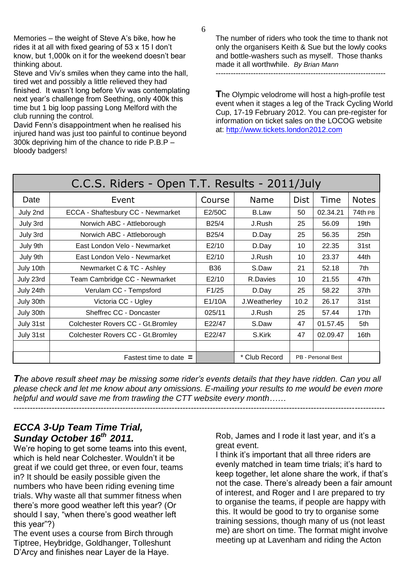6

Memories – the weight of Steve A's bike, how he rides it at all with fixed gearing of 53 x 15 I don"t know, but 1,000k on it for the weekend doesn"t bear thinking about.

Steve and Viv"s smiles when they came into the hall, tired wet and possibly a little relieved they had finished. It wasn"t long before Viv was contemplating next year"s challenge from Seething, only 400k this time but 1 big loop passing Long Melford with the club running the control.

David Fenn"s disappointment when he realised his injured hand was just too painful to continue beyond 300k depriving him of the chance to ride P.B.P – bloody badgers!

The number of riders who took the time to thank not only the organisers Keith & Sue but the lowly cooks and bottle-washers such as myself. Those thanks made it all worthwhile. *By Brian Mann*

--------------------------------------------------------------------

**T**he Olympic velodrome will host a high-profile test event when it stages a leg of the Track Cycling World Cup, 17-19 February 2012. You can pre-register for information on ticket sales on the LOCOG website at: [http://www.tickets.london2012.com](http://www.tickets.london2012.com/)

| C.C.S. Riders - Open T.T. Results - 2011/July |                                    |                    |               |             |                    |                  |  |  |  |
|-----------------------------------------------|------------------------------------|--------------------|---------------|-------------|--------------------|------------------|--|--|--|
| Date                                          | Event                              | Course             | Name          | <b>Dist</b> | Time               | <b>Notes</b>     |  |  |  |
| July 2nd                                      | ECCA - Shaftesbury CC - Newmarket  | E2/50C             | <b>B.Law</b>  | 50          | 02.34.21           | 74th PB          |  |  |  |
| July 3rd                                      | Norwich ABC - Attleborough         | B <sub>25</sub> /4 | J.Rush        | 25          | 56.09              | 19 <sub>th</sub> |  |  |  |
| July 3rd                                      | Norwich ABC - Attleborough         | B25/4              | D.Day         | 25          | 56.35              | 25th             |  |  |  |
| July 9th                                      | East London Velo - Newmarket       | E2/10              | D.Day         | 10          | 22.35              | 31st             |  |  |  |
| July 9th                                      | East London Velo - Newmarket       | E2/10              | J.Rush        | 10          | 23.37              | 44th             |  |  |  |
| July 10th                                     | Newmarket C & TC - Ashley          | <b>B36</b>         | S.Daw         | 21          | 52.18              | 7th              |  |  |  |
| July 23rd                                     | Team Cambridge CC - Newmarket      | E2/10              | R.Davies      | 10          | 21.55              | 47th             |  |  |  |
| July 24th                                     | Verulam CC - Tempsford             | F1/25              | D.Day         | 25          | 58.22              | 37th             |  |  |  |
| July 30th                                     | Victoria CC - Ugley                | E1/10A             | J.Weatherley  | 10.2        | 26.17              | 31st             |  |  |  |
| July 30th                                     | Sheffrec CC - Doncaster            | 025/11             | J.Rush        | 25          | 57.44              | 17 <sub>th</sub> |  |  |  |
| July 31st                                     | Colchester Rovers CC - Gt. Bromley | E22/47             | S.Daw         | 47          | 01.57.45           | 5th              |  |  |  |
| July 31st                                     | Colchester Rovers CC - Gt. Bromley | E22/47             | S.Kirk        | 47          | 02.09.47           | 16th             |  |  |  |
|                                               |                                    |                    |               |             |                    |                  |  |  |  |
|                                               | Fastest time to date $=$           |                    | * Club Record |             | PB - Personal Best |                  |  |  |  |

*The above result sheet may be missing some rider's events details that they have ridden. Can you all please check and let me know about any omissions. E-mailing your results to me would be even more helpful and would save me from trawling the CTT website every month……* ----------------------------------------------------------------------------------------------------------------------------------------

## *ECCA 3-Up Team Time Trial, Sunday October 16th 2011.*

We're hoping to get some teams into this event, which is held near Colchester. Wouldn"t it be great if we could get three, or even four, teams in? It should be easily possible given the numbers who have been riding evening time trials. Why waste all that summer fitness when there"s more good weather left this year? (Or should I say, "when there"s good weather left this year"?)

The event uses a course from Birch through Tiptree, Heybridge, Goldhanger, Tolleshunt D"Arcy and finishes near Layer de la Haye.

Rob, James and I rode it last year, and it's a great event.

I think it"s important that all three riders are evenly matched in team time trials; it"s hard to keep together, let alone share the work, if that"s not the case. There"s already been a fair amount of interest, and Roger and I are prepared to try to organise the teams, if people are happy with this. It would be good to try to organise some training sessions, though many of us (not least me) are short on time. The format might involve meeting up at Lavenham and riding the Acton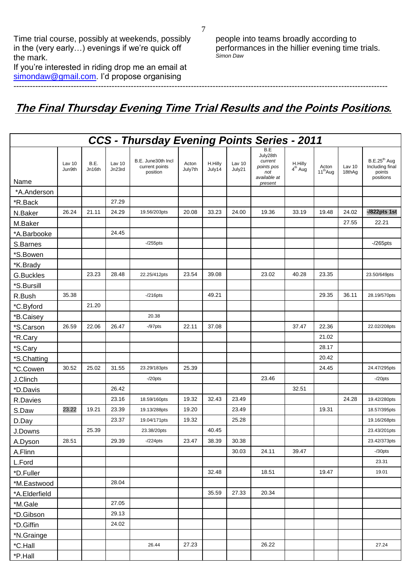Time trial course, possibly at weekends, possibly in the (very early...) evenings if we're quick off the mark.

If you"re interested in riding drop me an email at [simondaw@gmail.com.](mailto:simondaw@gmail.com) I'd propose organising

people into teams broadly according to performances in the hillier evening time trials. *Simon Daw*

# **The Final Thursday Evening Time Trial Results and the Points Positions***.*

-----------------------------------------------------------------------------------------------------------------------------------------

| CCS - Thursday Evening Points Series - 2011 |                  |                |                  |                                                  |                  |                   |                  |                                                                            |                      |                               |                  |                                                          |
|---------------------------------------------|------------------|----------------|------------------|--------------------------------------------------|------------------|-------------------|------------------|----------------------------------------------------------------------------|----------------------|-------------------------------|------------------|----------------------------------------------------------|
| Name                                        | Lav 10<br>Jun9th | B.E.<br>Jn16th | Lav 10<br>Jn23rd | B.E. June30th Incl<br>current points<br>position | Acton<br>July7th | H.Hilly<br>July14 | Lav 10<br>July21 | B.E<br>July28th<br>current<br>points pos<br>not<br>available at<br>present | H.Hilly<br>$4th$ Aug | Acton<br>11 <sup>th</sup> Aug | Lav 10<br>18thAg | $B.E.25th$ Aug<br>Including final<br>points<br>positions |
| *A.Anderson                                 |                  |                |                  |                                                  |                  |                   |                  |                                                                            |                      |                               |                  |                                                          |
| *R.Back                                     |                  |                | 27.29            |                                                  |                  |                   |                  |                                                                            |                      |                               |                  |                                                          |
| N.Baker                                     | 26.24            | 21.11          | 24.29            | 19.56/203pts                                     | 20.08            | 33.23             | 24.00            | 19.36                                                                      | 33.19                | 19.48                         | 24.02            | $-$ /822pts 1st                                          |
| M.Baker                                     |                  |                |                  |                                                  |                  |                   |                  |                                                                            |                      |                               | 27.55            | 22.21                                                    |
| *A.Barbooke                                 |                  |                | 24.45            |                                                  |                  |                   |                  |                                                                            |                      |                               |                  |                                                          |
| S.Barnes                                    |                  |                |                  | $-255$ pts                                       |                  |                   |                  |                                                                            |                      |                               |                  | $-265$ pts                                               |
| *S.Bowen                                    |                  |                |                  |                                                  |                  |                   |                  |                                                                            |                      |                               |                  |                                                          |
| *K.Brady                                    |                  |                |                  |                                                  |                  |                   |                  |                                                                            |                      |                               |                  |                                                          |
| <b>G.Buckles</b>                            |                  | 23.23          | 28.48            | 22.25/412pts                                     | 23.54            | 39.08             |                  | 23.02                                                                      | 40.28                | 23.35                         |                  | 23.50/649pts                                             |
| *S.Bursill                                  |                  |                |                  |                                                  |                  |                   |                  |                                                                            |                      |                               |                  |                                                          |
| R.Bush                                      | 35.38            |                |                  | $-216$ pts                                       |                  | 49.21             |                  |                                                                            |                      | 29.35                         | 36.11            | 28.19/570pts                                             |
| *C.Byford                                   |                  | 21.20          |                  |                                                  |                  |                   |                  |                                                                            |                      |                               |                  |                                                          |
| *B.Caisey                                   |                  |                |                  | 20.38                                            |                  |                   |                  |                                                                            |                      |                               |                  |                                                          |
| *S.Carson                                   | 26.59            | 22.06          | 26.47            | $-$ /97 $pts$                                    | 22.11            | 37.08             |                  |                                                                            | 37.47                | 22.36                         |                  | 22.02/208pts                                             |
| *R.Cary                                     |                  |                |                  |                                                  |                  |                   |                  |                                                                            |                      | 21.02                         |                  |                                                          |
| *S.Cary                                     |                  |                |                  |                                                  |                  |                   |                  |                                                                            |                      | 28.17                         |                  |                                                          |
| *S.Chatting                                 |                  |                |                  |                                                  |                  |                   |                  |                                                                            |                      | 20.42                         |                  |                                                          |
| *C.Cowen                                    | 30.52            | 25.02          | 31.55            | 23.29/183pts                                     | 25.39            |                   |                  |                                                                            |                      | 24.45                         |                  | 24.47/295pts                                             |
| J.Clinch                                    |                  |                |                  | $-20$ pts                                        |                  |                   |                  | 23.46                                                                      |                      |                               |                  | $-20$ pts                                                |
| *D.Davis                                    |                  |                | 26.42            |                                                  |                  |                   |                  |                                                                            | 32.51                |                               |                  |                                                          |
| R.Davies                                    |                  |                | 23.16            | 18.59/160pts                                     | 19.32            | 32.43             | 23.49            |                                                                            |                      |                               | 24.28            | 19.42/280pts                                             |
| S.Daw                                       | 23.22            | 19.21          | 23.39            | 19.13/288pts                                     | 19.20            |                   | 23.49            |                                                                            |                      | 19.31                         |                  | 18.57/395pts                                             |
| D.Day                                       |                  |                | 23.37            | 19.04/171pts                                     | 19.32            |                   | 25.28            |                                                                            |                      |                               |                  | 19.16/268pts                                             |
| J.Downs                                     |                  | 25.39          |                  | 23.38/20pts                                      |                  | 40.45             |                  |                                                                            |                      |                               |                  | 23.43/201pts                                             |
| A.Dyson                                     | 28.51            |                | 29.39            | $-224$ pts                                       | 23.47            | 38.39             | 30.38            |                                                                            |                      |                               |                  | 23.42/373pts                                             |
| A.Flinn                                     |                  |                |                  |                                                  |                  |                   | 30.03            | 24.11                                                                      | 39.47                |                               |                  | $-$ /30 $pts$                                            |
| L.Ford                                      |                  |                |                  |                                                  |                  |                   |                  |                                                                            |                      |                               |                  | 23.31                                                    |
| *D.Fuller                                   |                  |                |                  |                                                  |                  | 32.48             |                  | 18.51                                                                      |                      | 19.47                         |                  | 19.01                                                    |
| *M.Eastwood                                 |                  |                | 28.04            |                                                  |                  |                   |                  |                                                                            |                      |                               |                  |                                                          |
| *A.Elderfield                               |                  |                |                  |                                                  |                  | 35.59             | 27.33            | 20.34                                                                      |                      |                               |                  |                                                          |
| *M.Gale                                     |                  |                | 27.05            |                                                  |                  |                   |                  |                                                                            |                      |                               |                  |                                                          |
| *D.Gibson                                   |                  |                | 29.13            |                                                  |                  |                   |                  |                                                                            |                      |                               |                  |                                                          |
| *D.Giffin                                   |                  |                | 24.02            |                                                  |                  |                   |                  |                                                                            |                      |                               |                  |                                                          |
| *N.Grainge                                  |                  |                |                  |                                                  |                  |                   |                  |                                                                            |                      |                               |                  |                                                          |
| *C.Hall                                     |                  |                |                  | 26.44                                            | 27.23            |                   |                  | 26.22                                                                      |                      |                               |                  | 27.24                                                    |
| *P.Hall                                     |                  |                |                  |                                                  |                  |                   |                  |                                                                            |                      |                               |                  |                                                          |

7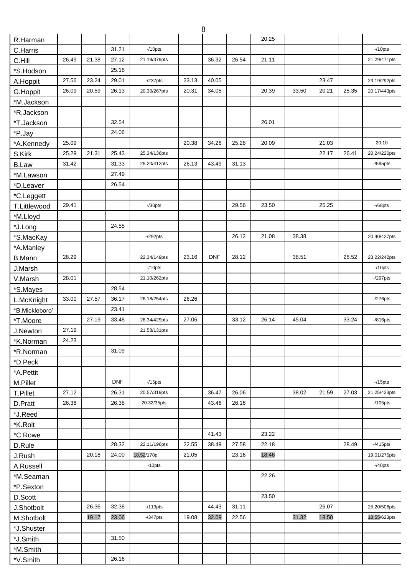|                |       |       |            |              |       | 8          |       |       |       |       |       |              |
|----------------|-------|-------|------------|--------------|-------|------------|-------|-------|-------|-------|-------|--------------|
| R.Harman       |       |       |            |              |       |            |       | 20.25 |       |       |       |              |
| C.Harris       |       |       | 31.21      | $-10$ pts    |       |            |       |       |       |       |       | $-10$ pts    |
| C.Hill         | 26.49 | 21.38 | 27.12      | 21.19/379pts |       | 36.32      | 26.54 | 21.11 |       |       |       | 21.29/471pts |
| *S.Hodson      |       |       | 25.16      |              |       |            |       |       |       |       |       |              |
| A.Hoppit       | 27.56 | 23.24 | 29.01      | $-237$ pts   | 23.13 | 40.05      |       |       |       | 23.47 |       | 23.19/292pts |
| G.Hoppit       | 26.09 | 20.59 | 26.13      | 20.30/267pts | 20.31 | 34.05      |       | 20.39 | 33.50 | 20.21 | 25.35 | 20.17/443pts |
| *M.Jackson     |       |       |            |              |       |            |       |       |       |       |       |              |
| *R.Jackson     |       |       |            |              |       |            |       |       |       |       |       |              |
| *T.Jackson     |       |       | 32.54      |              |       |            |       | 26.01 |       |       |       |              |
| *P.Jay         |       |       | 24.06      |              |       |            |       |       |       |       |       |              |
| *A.Kennedy     | 25.09 |       |            |              | 20.38 | 34.26      | 25.28 | 20.09 |       | 21.03 |       | 20.10        |
| S.Kirk         | 25.29 | 21.31 | 25.43      | 25.34/136pts |       |            |       |       |       | 22.17 | 26.41 | 20.24/220pts |
| <b>B.Law</b>   | 31.42 |       | 31.33      | 25.20/412pts | 26.13 | 43.49      | 31.13 |       |       |       |       | $-$ /595pts  |
| *M.Lawson      |       |       | 27.49      |              |       |            |       |       |       |       |       |              |
| *D.Leaver      |       |       | 26.54      |              |       |            |       |       |       |       |       |              |
| *C.Leggett     |       |       |            |              |       |            |       |       |       |       |       |              |
| T.Littlewood   | 29.41 |       |            | $-$ /30pts   |       |            | 29.56 | 23.50 |       | 25.25 |       | $-$ /68pts   |
| *M.Lloyd       |       |       |            |              |       |            |       |       |       |       |       |              |
| *J.Long        |       |       | 24.55      |              |       |            |       |       |       |       |       |              |
| *S.MacKay      |       |       |            | $-292$ pts   |       |            | 26.12 | 21.08 | 38.38 |       |       | 20.40/427pts |
|                |       |       |            |              |       |            |       |       |       |       |       |              |
| *A.Manley      | 28.29 |       |            | 22.34/149pts | 23.16 | <b>DNF</b> | 28.12 |       | 38.51 |       | 28.52 | 23.22/242pts |
| <b>B.Mann</b>  |       |       |            | $-10$ pts    |       |            |       |       |       |       |       | $-10$ pts    |
| J.Marsh        | 28.01 |       |            | 21.10/262pts |       |            |       |       |       |       |       | $-297$ pts   |
| V.Marsh        |       |       | 28.54      |              |       |            |       |       |       |       |       |              |
| *S.Mayes       | 33.00 | 27.57 | 36.17      | 26.18/254pts | 26.26 |            |       |       |       |       |       | $-276$ pts   |
| L.McKnight     |       |       | 23.41      |              |       |            |       |       |       |       |       |              |
| *B.Mickleboro' |       |       |            |              |       |            | 33.12 | 26.14 | 45.04 |       | 33.24 |              |
| *T.Moore       |       | 27.19 | 33.48      | 26.34/429pts | 27.06 |            |       |       |       |       |       | $-$ /816pts  |
| J.Newton       | 27.19 |       |            | 21.58/131pts |       |            |       |       |       |       |       |              |
| *K.Norman      | 24.23 |       |            |              |       |            |       |       |       |       |       |              |
| *R.Norman      |       |       | 31.09      |              |       |            |       |       |       |       |       |              |
| *D.Peck        |       |       |            |              |       |            |       |       |       |       |       |              |
| *A.Pettit      |       |       |            |              |       |            |       |       |       |       |       |              |
| M.Pillet       |       |       | <b>DNF</b> | $-15$ pts    |       |            |       |       |       |       |       | $-15$ pts    |
| T.Pillet       | 27.12 |       | 26.31      | 20.57/319pts |       | 36.47      | 26.06 |       | 38.02 | 21.59 | 27.03 | 21.25/423pts |
| D.Pratt        | 26.36 |       | 26.38      | 20.32/35pts  |       | 43.46      | 26.16 |       |       |       |       | $-105$ pts   |
| *J.Reed        |       |       |            |              |       |            |       |       |       |       |       |              |
| *K.Rolt        |       |       |            |              |       |            |       |       |       |       |       |              |
| *C.Rowe        |       |       |            |              |       | 41.43      |       | 23.22 |       |       |       |              |
| D.Rule         |       |       | 28.32      | 22.11/196pts | 22.55 | 38.49      | 27.58 | 22.18 |       |       | 28.49 | $-415$ pts   |
| J.Rush         |       | 20.18 | 24.00      | 18.52/178p   | 21.05 |            | 23.16 | 18.46 |       |       |       | 19.01/275pts |
| A.Russell      |       |       |            | $-10$ pts    |       |            |       |       |       |       |       | $-40$ pts    |
| *M.Seaman      |       |       |            |              |       |            |       | 22.26 |       |       |       |              |
| *P.Sexton      |       |       |            |              |       |            |       |       |       |       |       |              |
| D.Scott        |       |       |            |              |       |            |       | 23.50 |       |       |       |              |
| J.Shotbolt     |       | 26.36 | 32.38      | $-113pts$    |       | 44.43      | 31.11 |       |       | 26.07 |       | 25.20/508pts |
| M.Shotbolt     |       | 19.17 | 23.06      | $-$ /347pts  | 19.08 | 32.09      | 22.56 |       | 31.32 | 18.50 |       | 18.55/623pts |
| *J.Shuster     |       |       |            |              |       |            |       |       |       |       |       |              |
| *J.Smith       |       |       | 31.50      |              |       |            |       |       |       |       |       |              |
| *M.Smith       |       |       |            |              |       |            |       |       |       |       |       |              |
| *V.Smith       |       |       | 26.16      |              |       |            |       |       |       |       |       |              |